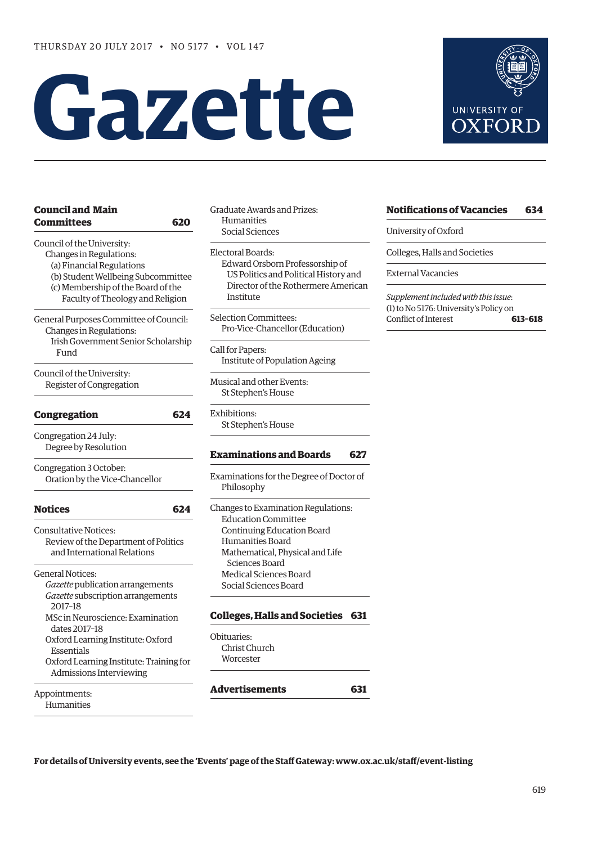# **Gazette**



| <b>Council and Main</b>                     |     |
|---------------------------------------------|-----|
| Committees                                  | 620 |
| Council of the University:                  |     |
| Changes in Regulations:                     |     |
| (a) Financial Regulations                   |     |
| (b) Student Wellbeing Subcommittee          |     |
| (c) Membership of the Board of the          |     |
| Faculty of Theology and Religion            |     |
| General Purposes Committee of Council:      |     |
| Changes in Regulations:                     |     |
| Irish Government Senior Scholarship<br>Fund |     |
| Council of the University:                  |     |
| Register of Congregation                    |     |
| <b>Congregation</b>                         | 624 |
| Congregation 24 July:                       |     |
| Degree by Resolution                        |     |
| Congregation 3 October:                     |     |
| Oration by the Vice-Chancellor              |     |
| <b>Notices</b>                              | 624 |
| <b>Consultative Notices:</b>                |     |
| Review of the Department of Politics        |     |
| and International Relations                 |     |
| <b>General Notices:</b>                     |     |
| Gazette publication arrangements            |     |
| Gazette subscription arrangements           |     |
| 2017-18                                     |     |
| MSc in Neuroscience: Examination            |     |
| dates 2017-18                               |     |
| Oxford Learning Institute: Oxford           |     |
| Essentials                                  |     |
| Oxford Learning Institute: Training for     |     |
| Admissions Interviewing                     |     |
| Appointments:                               |     |

Humanities

Graduate Awards and Prizes: Humanities Social Sciences

Electoral Boards: Edward Orsborn Professorship of US Politics and Political History and Director of the Rothermere American Institute

Selection Committees: Pro-Vice-Chancellor (Education)

Call for Papers: Institute of Population Ageing

Musical and other Events: St Stephen's House

Exhibitions: St Stephen's House

### **[Examinations and Boards](#page-8-0) 627**

Examinations for the Degree of Doctor of Philosophy

Changes to Examination Regulations: Education Committee Continuing Education Board Humanities Board Mathematical, Physical and Life Sciences Board Medical Sciences Board Social Sciences Board

### **[Colleges, Halls and Societies](#page-12-0) 631**

Obituaries: Christ Church Worcester

### **[Advertisements](#page-12-0) 631**

**For details of University events, see the 'Events' page of the Staff Gateway: [www.ox.ac.uk/staff/event-listing](http://www.ox.ac.uk/staff/event-listing)**

### **[Notifications of Vacancies 634](#page-15-0)**

University of Oxford

Colleges, Halls and Societies

External Vacancies

*Supplement included with this issue*: (1) to No 5176: University's Policy on Conflict of Interest **613–618**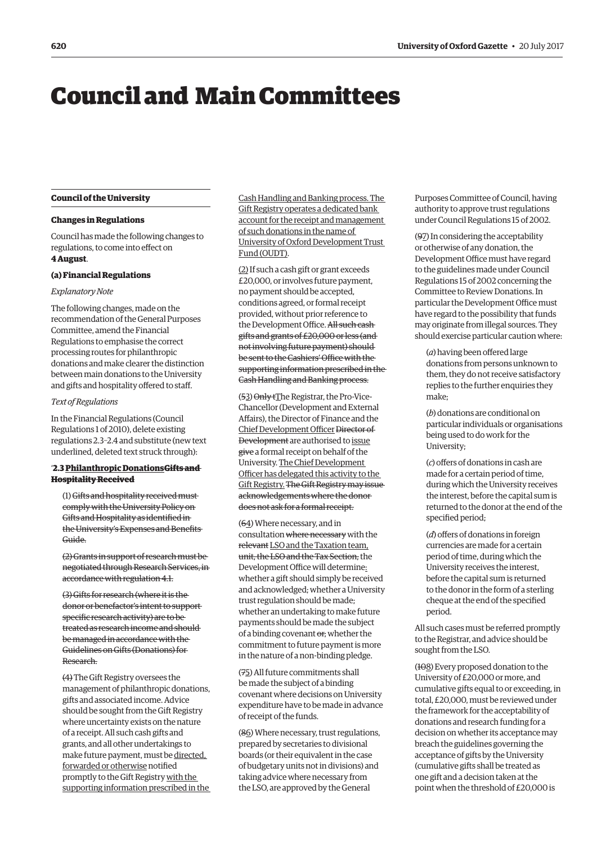# <span id="page-1-0"></span>Council and Main Committees

#### **Council of the University**

### **Changes in Regulations**

Council has made the following changes to regulations, to come into effect on **4 August**.

#### **(a) Financial Regulations**

### *Explanatory Note*

The following changes, made on the recommendation of the General Purposes Committee, amend the Financial Regulations to emphasise the correct processing routes for philanthropic donations and make clearer the distinction between main donations to the University and gifts and hospitality offered to staff.

### *Text of Regulations*

In the Financial Regulations (Council Regulations 1 of 2010), delete existing regulations 2.3–2.4 and substitute (new text underlined, deleted text struck through):

### '**2.3 Philanthropic DonationsGifts and Hospitality Received**

(1) Gifts and hospitality received must comply with the University Policy on Gifts and Hospitality as identified in the University's Expenses and Benefits Guide.

(2) Grants in support of research must be negotiated through Research Services, in accordance with regulation 4.1.

(3) Gifts for research (where it is the donor or benefactor's intent to support specific research activity) are to be treated as research income and should be managed in accordance with the Guidelines on Gifts (Donations) for Research.

(4) The Gift Registry oversees the management of philanthropic donations, gifts and associated income. Advice should be sought from the Gift Registry where uncertainty exists on the nature of a receipt. All such cash gifts and grants, and all other undertakings to make future payment, must be directed, forwarded or otherwise notified promptly to the Gift Registry with the supporting information prescribed in the Cash Handling and Banking process. The Gift Registry operates a dedicated bank account for the receipt and management of such donations in the name of University of Oxford Development Trust Fund (OUDT).

(2) If such a cash gift or grant exceeds £20,000, or involves future payment, no payment should be accepted, conditions agreed, or formal receipt provided, without prior reference to the Development Office. All such cash gifts and grants of £20,000 or less (and not involving future payment) should be sent to the Cashiers' Office with the supporting information prescribed in the Cash Handling and Banking process.

(53) Only tThe Registrar, the Pro-Vice-Chancellor (Development and External Affairs), the Director of Finance and the Chief Development Officer Director of Development are authorised to issue give a formal receipt on behalf of the University. The Chief Development Officer has delegated this activity to the Gift Registry. The Gift Registry may issue acknowledgements where the donor does not ask for a formal receipt.

(64) Where necessary, and in consultation where necessary with the relevant LSO and the Taxation team, unit, the LSO and the Tax Section, the Development Office will determine: whether a gift should simply be received and acknowledged; whether a University trust regulation should be made; whether an undertaking to make future payments should be made the subject of a binding covenant or; whether the commitment to future payment is more in the nature of a non-binding pledge.

(75) All future commitments shall be made the subject of a binding covenant where decisions on University expenditure have to be made in advance of receipt of the funds.

(86) Where necessary, trust regulations, prepared by secretaries to divisional boards (or their equivalent in the case of budgetary units not in divisions) and taking advice where necessary from the LSO, are approved by the General

Purposes Committee of Council, having authority to approve trust regulations under Council Regulations 15 of 2002.

(97) In considering the acceptability or otherwise of any donation, the Development Office must have regard to the guidelines made under Council Regulations 15 of 2002 concerning the Committee to Review Donations. In particular the Development Office must have regard to the possibility that funds may originate from illegal sources. They should exercise particular caution where:

(*a*) having been offered large donations from persons unknown to them, they do not receive satisfactory replies to the further enquiries they make;

(*b*) donations are conditional on particular individuals or organisations being used to do work for the University;

(*c*) offers of donations in cash are made for a certain period of time, during which the University receives the interest, before the capital sum is returned to the donor at the end of the specified period;

(*d*) offers of donations in foreign currencies are made for a certain period of time, during which the University receives the interest, before the capital sum is returned to the donor in the form of a sterling cheque at the end of the specified period.

All such cases must be referred promptly to the Registrar, and advice should be sought from the LSO.

(108) Every proposed donation to the University of £20,000 or more, and cumulative gifts equal to or exceeding, in total, £20,000, must be reviewed under the framework for the acceptability of donations and research funding for a decision on whether its acceptance may breach the guidelines governing the acceptance of gifts by the University (cumulative gifts shall be treated as one gift and a decision taken at the point when the threshold of £20,000 is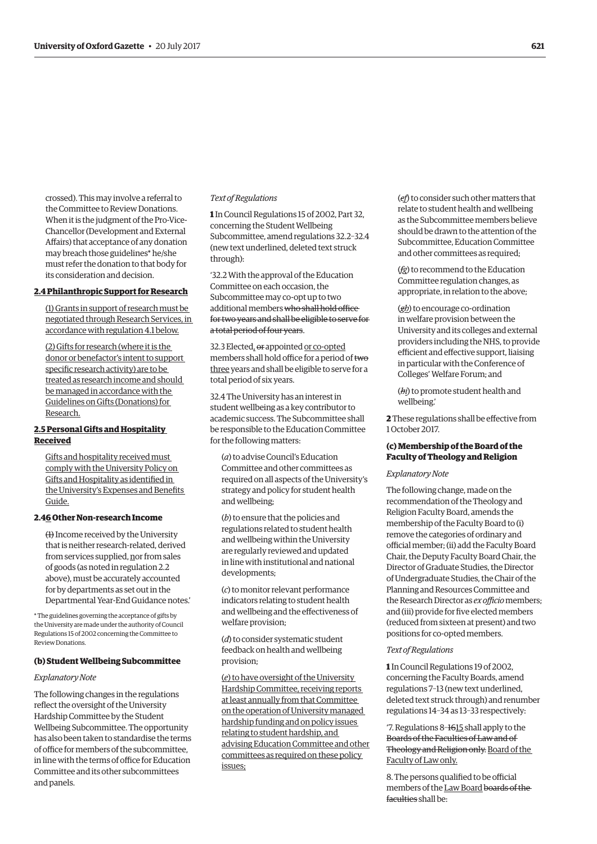crossed). This may involve a referral to the Committee to Review Donations. When it is the judgment of the Pro-Vice-Chancellor (Development and External Affairs) that acceptance of any donation may breach those guidelines\* he/she must refer the donation to that body for its consideration and decision.

### **2.4 Philanthropic Support for Research**

(1) Grants in support of research must be negotiated through Research Services, in accordance with regulation 4.1 below.

(2) Gifts for research (where it is the donor or benefactor's intent to support specific research activity) are to be treated as research income and should be managed in accordance with the Guidelines on Gifts (Donations) for Research.

### **2.5 Personal Gifts and Hospitality Received**

Gifts and hospitality received must comply with the University Policy on Gifts and Hospitality as identified in the University's Expenses and Benefits Guide.

### **2.46 Other Non-research Income**

(1) Income received by the University that is neither research-related, derived from services supplied, nor from sales of goods (as noted in regulation 2.2 above), must be accurately accounted for by departments as set out in the Departmental Year-End Guidance notes.'

\* The guidelines governing the acceptance of gifts by the University are made under the authority of Council Regulations 15 of 2002 concerning the Committee to Review Donations.

### **(b) Student Wellbeing Subcommittee**

#### *Explanatory Note*

The following changes in the regulations reflect the oversight of the University Hardship Committee by the Student Wellbeing Subcommittee. The opportunity has also been taken to standardise the terms of office for members of the subcommittee, in line with the terms of office for Education Committee and its other subcommittees and panels.

### *Text of Regulations*

**1** In Council Regulations 15 of 2002, Part 32, concerning the Student Wellbeing Subcommittee, amend regulations 32.2–32.4 (new text underlined, deleted text struck through):

'32.2 With the approval of the Education Committee on each occasion, the Subcommittee may co-opt up to two additional members who shall hold office for two years and shall be eligible to serve for a total period of four years.

32.3 Elected, or appointed or co-opted members shall hold office for a period of two three years and shall be eligible to serve for a total period of six years.

32.4 The University has an interest in student wellbeing as a key contributor to academic success. The Subcommittee shall be responsible to the Education Committee for the following matters:

(*a*) to advise Council's Education Committee and other committees as required on all aspects of the University's strategy and policy for student health and wellbeing;

(*b*) to ensure that the policies and regulations related to student health and wellbeing within the University are regularly reviewed and updated in line with institutional and national developments;

(*c*) to monitor relevant performance indicators relating to student health and wellbeing and the effectiveness of welfare provision;

(*d*) to consider systematic student feedback on health and wellbeing provision;

(*e*) to have oversight of the University Hardship Committee, receiving reports at least annually from that Committee on the operation of University managed hardship funding and on policy issues relating to student hardship, and advising Education Committee and other committees as required on these policy issues;

(*ef*) to consider such other matters that relate to student health and wellbeing as the Subcommittee members believe should be drawn to the attention of the Subcommittee, Education Committee and other committees as required;

(*fg*) to recommend to the Education Committee regulation changes, as appropriate, in relation to the above;

(*gh*) to encourage co-ordination in welfare provision between the University and its colleges and external providers including the NHS, to provide efficient and effective support, liaising in particular with the Conference of Colleges' Welfare Forum; and

(*hi*) to promote student health and wellbeing.'

**2** These regulations shall be effective from 1 October 2017.

### **(c) Membership of the Board of the Faculty of Theology and Religion**

#### *Explanatory Note*

The following change, made on the recommendation of the Theology and Religion Faculty Board, amends the membership of the Faculty Board to (i) remove the categories of ordinary and official member; (ii) add the Faculty Board Chair, the Deputy Faculty Board Chair, the Director of Graduate Studies, the Director of Undergraduate Studies, the Chair of the Planning and Resources Committee and the Research Director as *ex officio* members; and (iii) provide for five elected members (reduced from sixteen at present) and two positions for co-opted members.

#### *Text of Regulations*

**1** In Council Regulations 19 of 2002, concerning the Faculty Boards, amend regulations 7–13 (new text underlined, deleted text struck through) and renumber regulations 14–34 as 13–33 respectively:

'7. Regulations 8–1615 shall apply to the Boards of the Faculties of Law and of Theology and Religion only. Board of the Faculty of Law only.

8. The persons qualified to be official members of the Law Board boards of the faculties shall be: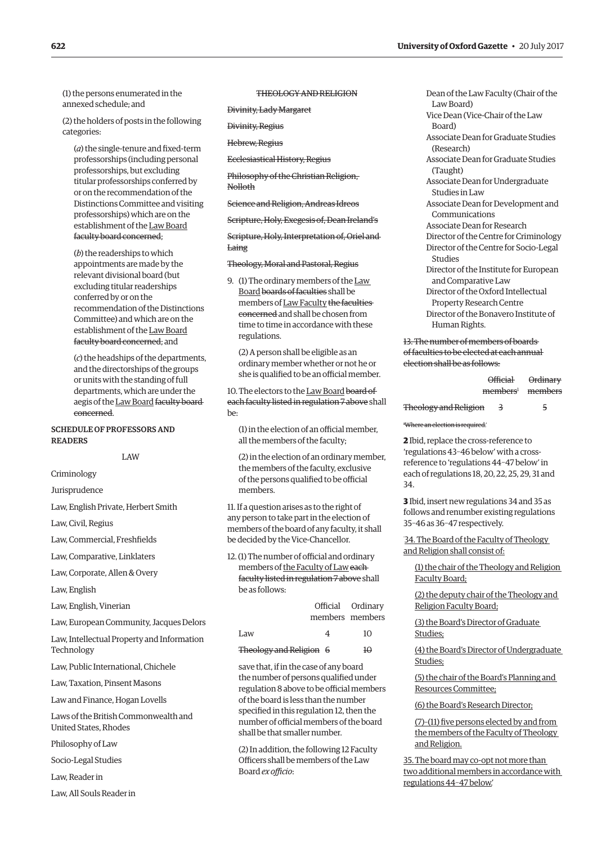(1) the persons enumerated in the annexed schedule; and

(2) the holders of posts in the following categories:

(*a*) the single-tenure and fixed-term professorships (including personal professorships, but excluding titular professorships conferred by or on the recommendation of the Distinctions Committee and visiting professorships) which are on the establishment of the Law Board faculty board concerned;

(*b*) the readerships to which appointments are made by the relevant divisional board (but excluding titular readerships conferred by or on the recommendation of the Distinctions Committee) and which are on the establishment of the Law Board faculty board concerned; and

(*c*) the headships of the departments, and the directorships of the groups or units with the standing of full departments, which are under the aegis of the Law Board faculty board concerned.

### SCHEDULE OF PROFESSORS AND **DEADEDS**

LAW

Criminology

Jurisprudence

Law, English Private, Herbert Smith

Law, Civil, Regius

Law, Commercial, Freshfields

Law, Comparative, Linklaters

Law, Corporate, Allen & Overy

Law, English

Law, English, Vinerian

Law, European Community, Jacques Delors

Law, Intellectual Property and Information Technology

Law, Public International, Chichele

Law, Taxation, Pinsent Masons

Law and Finance, Hogan Lovells

Laws of the British Commonwealth and United States, Rhodes

Philosophy of Law

Socio-Legal Studies

Law, Reader in

Law, All Souls Reader in

THEOLOGY AND RELIGION

Divinity, Lady Margaret

Divinity, Regius

Hebrew, Regius

Ecclesiastical History, Regius

Philosophy of the Christian Religion, Nolloth

Science and Religion, Andreas Idreos

Scripture, Holy, Exegesis of, Dean Ireland's

Scripture, Holy, Interpretation of, Oriel and Laing

Theology, Moral and Pastoral, Regius

9. (1) The ordinary members of the Law Board boards of faculties shall be members of Law Faculty the faculties concerned and shall be chosen from time to time in accordance with these regulations.

(2) A person shall be eligible as an ordinary member whether or not he or she is qualified to be an official member.

10. The electors to the Law Board board of each faculty listed in regulation 7 above shall be:

(1) in the election of an official member, all the members of the faculty;

(2) in the election of an ordinary member, the members of the faculty, exclusive of the persons qualified to be official members.

11. If a question arises as to the right of any person to take part in the election of members of the board of any faculty, it shall be decided by the Vice-Chancellor.

12. (1) The number of official and ordinary members of the Faculty of Laweach faculty listed in regulation 7 above shall be as follows:

> Official Ordinary members members

| Law                     | 10        |
|-------------------------|-----------|
| Theology and Religion 6 | $H\Theta$ |

save that, if in the case of any board the number of persons qualified under regulation 8 above to be official members of the board is less than the number specified in this regulation 12, then the number of official members of the board shall be that smaller number.

(2) In addition, the following 12 Faculty Officers shall be members of the Law Board *ex officio*:

Dean of the Law Faculty (Chair of the Law Board) Vice Dean (Vice-Chair of the Law Board) Associate Dean for Graduate Studies (Research) Associate Dean for Graduate Studies (Taught) Associate Dean for Undergraduate Studies in Law Associate Dean for Development and Communications Associate Dean for Research Director of the Centre for Criminology Director of the Centre for Socio-Legal Studies Director of the Institute for European and Comparative Law Director of the Oxford Intellectual Property Research Centre Director of the Bonavero Institute of Human Rights.

13. The number of members of boards of faculties to be elected at each annual election shall be as follows:

| <del>Official</del>          | <del>Ordinary</del> |
|------------------------------|---------------------|
| members <sup>1</sup> members |                     |

| Theology and Religion |  |  |
|-----------------------|--|--|
|-----------------------|--|--|

 $H$ Where an election is required.'

**2** Ibid, replace the cross-reference to 'regulations 43–46 below' with a crossreference to 'regulations 44–47 below' in each of regulations 18, 20, 22, 25, 29, 31 and 34.

**3** Ibid, insert new regulations 34 and 35 as follows and renumber existing regulations 35–46 as 36–47 respectively.

' 34. The Board of the Faculty of Theology and Religion shall consist of:

(1) the chair of the Theology and Religion Faculty Board;

(2) the deputy chair of the Theology and Religion Faculty Board;

(3) the Board's Director of Graduate Studies;

(4) the Board's Director of Undergraduate Studies;

(5) the chair of the Board's Planning and Resources Committee;

(6) the Board's Research Director;

(7)–(11) five persons elected by and from the members of the Faculty of Theology and Religion.

35. The board may co-opt not more than two additional members in accordance with regulations 44–47 below.'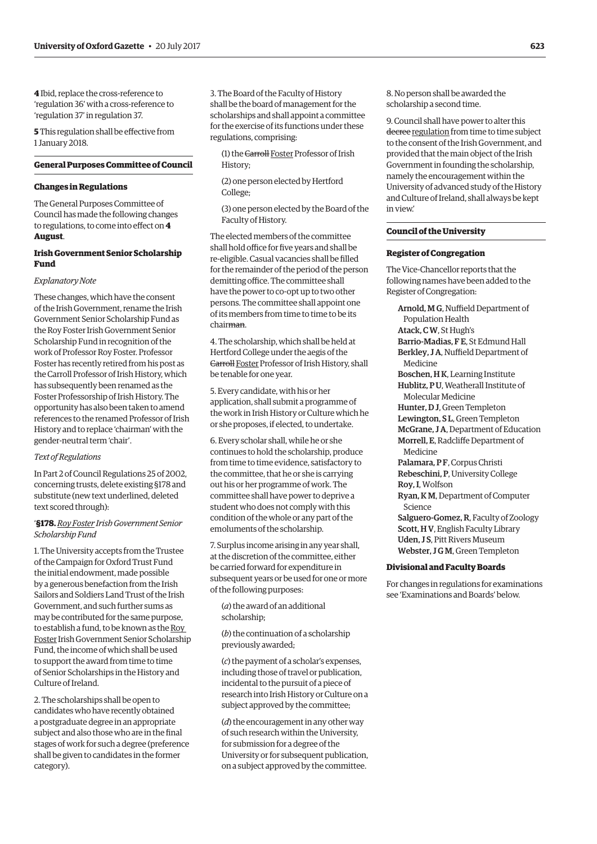**4** Ibid, replace the cross-reference to 'regulation 36' with a cross-reference to 'regulation 37' in regulation 37.

**5** This regulation shall be effective from 1 January 2018.

### **General Purposes Committee of Council**

#### **Changes in Regulations**

The General Purposes Committee of Council has made the following changes to regulations, to come into effect on **4 August**.

### **Irish Government Senior Scholarship Fund**

### *Explanatory Note*

These changes, which have the consent of the Irish Government, rename the Irish Government Senior Scholarship Fund as the Roy Foster Irish Government Senior Scholarship Fund in recognition of the work of Professor Roy Foster. Professor Foster has recently retired from his post as the Carroll Professor of Irish History, which has subsequently been renamed as the Foster Professorship of Irish History. The opportunity has also been taken to amend references to the renamed Professor of Irish History and to replace 'chairman' with the gender-neutral term 'chair'.

### *Text of Regulations*

In Part 2 of Council Regulations 25 of 2002, concerning trusts, delete existing §178 and substitute (new text underlined, deleted text scored through):

### '**§178.** *Roy Foster Irish Government Senior Scholarship Fund*

1. The University accepts from the Trustee of the Campaign for Oxford Trust Fund the initial endowment, made possible by a generous benefaction from the Irish Sailors and Soldiers Land Trust of the Irish Government, and such further sums as may be contributed for the same purpose, to establish a fund, to be known as the Roy Foster Irish Government Senior Scholarship Fund, the income of which shall be used to support the award from time to time of Senior Scholarships in the History and Culture of Ireland.

2. The scholarships shall be open to candidates who have recently obtained a postgraduate degree in an appropriate subject and also those who are in the final stages of work for such a degree (preference shall be given to candidates in the former category).

3. The Board of the Faculty of History shall be the board of management for the scholarships and shall appoint a committee for the exercise of its functions under these regulations, comprising:

(1) the Carroll Foster Professor of Irish History;

(2) one person elected by Hertford College;

(3) one person elected by the Board of the Faculty of History.

The elected members of the committee shall hold office for five years and shall be re-eligible. Casual vacancies shall be filled for the remainder of the period of the person demitting office. The committee shall have the power to co-opt up to two other persons. The committee shall appoint one of its members from time to time to be its chairman.

4. The scholarship, which shall be held at Hertford College under the aegis of the Carroll Foster Professor of Irish History, shall be tenable for one year.

5. Every candidate, with his or her application, shall submit a programme of the work in Irish History or Culture which he or she proposes, if elected, to undertake.

6. Every scholar shall, while he or she continues to hold the scholarship, produce from time to time evidence, satisfactory to the committee, that he or she is carrying out his or her programme of work. The committee shall have power to deprive a student who does not comply with this condition of the whole or any part of the emoluments of the scholarship.

7. Surplus income arising in any year shall, at the discretion of the committee, either be carried forward for expenditure in subsequent years or be used for one or more of the following purposes:

(*a*) the award of an additional scholarship;

(*b*) the continuation of a scholarship previously awarded;

(*c*) the payment of a scholar's expenses, including those of travel or publication, incidental to the pursuit of a piece of research into Irish History or Culture on a subject approved by the committee;

(*d*) the encouragement in any other way of such research within the University, for submission for a degree of the University or for subsequent publication, on a subject approved by the committee.

8. No person shall be awarded the scholarship a second time.

9. Council shall have power to alter this decree regulation from time to time subject to the consent of the Irish Government, and provided that the main object of the Irish Government in founding the scholarship, namely the encouragement within the University of advanced study of the History and Culture of Ireland, shall always be kept in view.'

### **Council of the University**

### **Register of Congregation**

The Vice-Chancellor reports that the following names have been added to the Register of Congregation:

Arnold, M G, Nuffield Department of Population Health Atack, C W, St Hugh's Barrio-Madias, F E, St Edmund Hall Berkley, J A, Nuffield Department of Medicine Boschen, H K, Learning Institute Hublitz, P U, Weatherall Institute of Molecular Medicine Hunter, D J, Green Templeton Lewington, S L, Green Templeton McGrane, J A, Department of Education Morrell, E, Radcliffe Department of Medicine Palamara, PF, Corpus Christi Rebeschini, P, University College Roy, I, Wolfson Ryan, K M, Department of Computer Science Salguero-Gomez, R, Faculty of Zoology Scott, H V, English Faculty Library Uden, J S, Pitt Rivers Museum Webster, J G M, Green Templeton

#### **Divisional and Faculty Boards**

For changes in regulations for examinations see '[Examinations and Boards'](#page-9-0) below.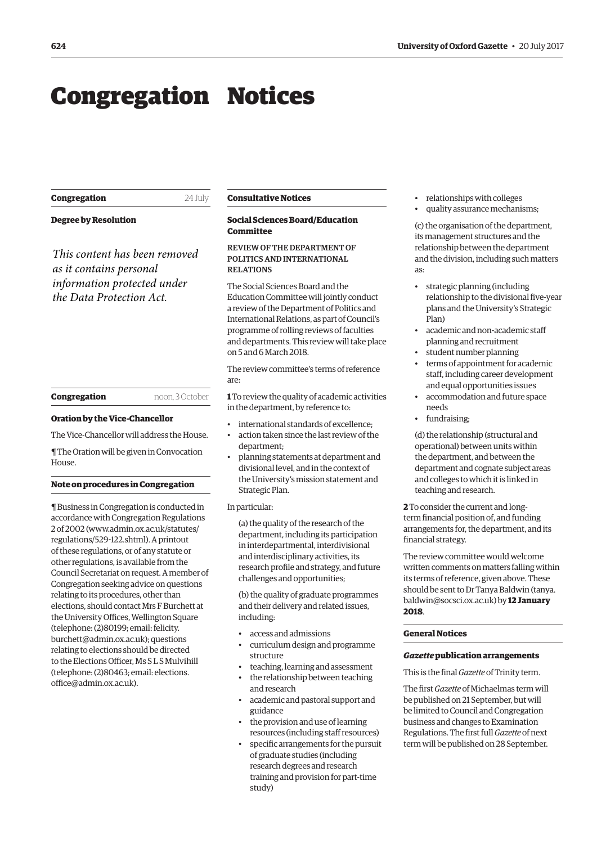# <span id="page-5-0"></span>Congregation Notices

| Congregation | 24 July |
|--------------|---------|
|              |         |

**Degree by Resolution**

*This content has been removed as it contains personal information protected under the Data Protection Act.*

#### **Congregation** noon, 3 October

### **Oration by the Vice-Chancellor**

The Vice-Chancellor will address the House.

¶ The Oration will be given in Convocation House.

### **Note on procedures in Congregation**

¶ Business in Congregation is conducted in accordance with Congregation Regulations 2 of 2002 [\(www.admin.ox.ac.uk/statutes/](http://www.admin.ox.ac.uk/statutes/regulations/529-122.shtml) [regulations/529-122.shtml\). A](http://www.admin.ox.ac.uk/statutes/regulations/529-122.shtml) printout of these regulations, or of any statute or other regulations, is available from the Council Secretariat on request. A member of Congregation seeking advice on questions relating to its procedures, other than elections, should contact Mrs F Burchett at the University Offices, Wellington Square (telephone: (2)80199; email: felicity. [burchett@admin.ox.ac.uk\); questions](mailto:felicity.burchett@admin.ox.ac.uk)  relating to elections should be directed to the Elections Officer, Ms S L S Mulvihill [\(telephone: \(2\)80463; email: elections.](mailto:elections.office@admin.ox.ac.uk) office@admin.ox.ac.uk).

#### **Consultative Notices**

### **Social Sciences Board/Education Committee**

### REVIEW OF THE DEPARTMENT OF POLITICS AND INTERNATIONAL RELATIONS

The Social Sciences Board and the Education Committee will jointly conduct a review of the Department of Politics and International Relations, as part of Council's programme of rolling reviews of faculties and departments. This review will take place on 5 and 6 March 2018.

The review committee's terms of reference are:

**1** To review the quality of academic activities in the department, by reference to:

- international standards of excellence;
- action taken since the last review of the department;
- planning statements at department and divisional level, and in the context of the University's mission statement and Strategic Plan.

### In particular:

(a) the quality of the research of the department, including its participation in interdepartmental, interdivisional and interdisciplinary activities, its research profile and strategy, and future challenges and opportunities;

(b) the quality of graduate programmes and their delivery and related issues, including:

- access and admissions
- curriculum design and programme structure
- teaching, learning and assessment
- the relationship between teaching and research
- academic and pastoral support and guidance
- the provision and use of learning resources (including staff resources)
- specific arrangements for the pursuit of graduate studies (including research degrees and research training and provision for part-time study)
- relationships with colleges
- quality assurance mechanisms;

(c) the organisation of the department, its management structures and the relationship between the department and the division, including such matters as:

- strategic planning (including relationship to the divisional five-year plans and the University's Strategic Plan)
- academic and non-academic staff planning and recruitment
- student number planning
- terms of appointment for academic staff, including career development and equal opportunities issues
- accommodation and future space needs
- fundraising;

(d) the relationship (structural and operational) between units within the department, and between the department and cognate subject areas and colleges to which it is linked in teaching and research.

**2** To consider the current and longterm financial position of, and funding arrangements for, the department, and its financial strategy.

The review committee would welcome written comments on matters falling within its terms of reference, given above. These [should be sent to Dr Tanya Baldwin \(tanya.](mailto:tanya.baldwin@socsci.ox.ac.uk) baldwin@socsci.ox.ac.uk) by **12 January 2018**.

### **General Notices**

### *Gazette* **publication arrangements**

This is the final *Gazette* of Trinity term.

The first *Gazette* of Michaelmas term will be published on 21 September, but will be limited to Council and Congregation business and changes to Examination Regulations. The first full *Gazette* of next term will be published on 28 September.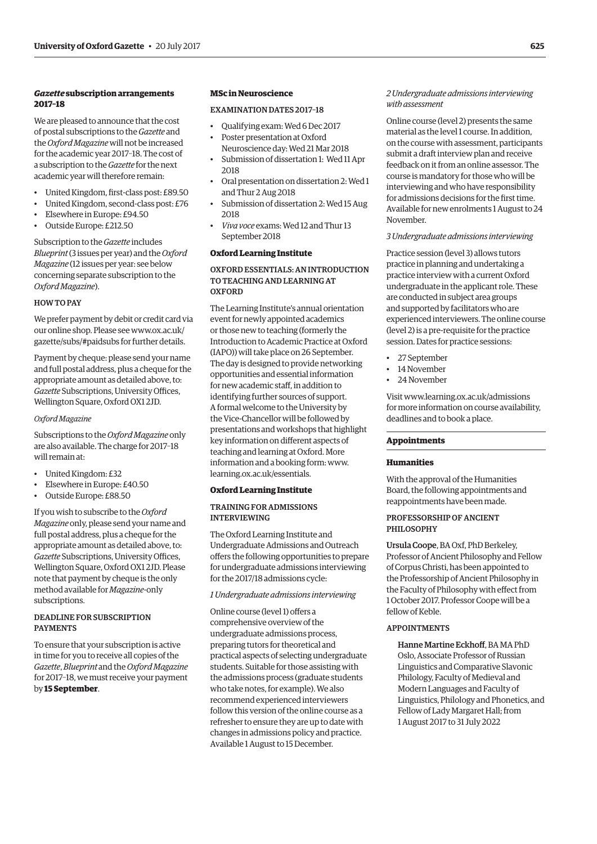### *Gazette* **subscription arrangements 2017–18**

We are pleased to announce that the cost of postal subscriptions to the *Gazette* and the *Oxford Magazine* will not be increased for the academic year 2017–18. The cost of a subscription to the *Gazette* for the next academic year will therefore remain:

- United Kingdom, first-class post: £89.50
- United Kingdom, second-class post: £76
- Elsewhere in Europe: £94.50
- Outside Europe: £212.50

Subscription to the *Gazette* includes *Blueprint* (3 issues per year) and the *Oxford Magazine* (12 issues per year: see below concerning separate subscription to the *Oxford Magazine*).

### HOW TO PAY

We prefer payment by debit or credit card via our online shop. Please see www.ox.ac.uk/ [gazette/subs/#paidsubs for further details.](www.ox.ac.uk/gazette/subs/#paidsubs)

Payment by cheque: please send your name and full postal address, plus a cheque for the appropriate amount as detailed above, to: *Gazette* Subscriptions, University Offices, Wellington Square, Oxford OX1 2JD.

### *Oxford Magazine*

Subscriptions to the *Oxford Magazine* only are also available. The charge for 2017–18 will remain at:

- United Kingdom: £32
- Elsewhere in Europe: £40.50
- Outside Europe: £88.50

If you wish to subscribe to the *Oxford Magazine* only, please send your name and full postal address, plus a cheque for the appropriate amount as detailed above, to: *Gazette* Subscriptions, University Offices, Wellington Square, Oxford OX1 2JD. Please note that payment by cheque is the only method available for *Magazine*-only subscriptions.

### DEADLINE FOR SUBSCRIPTION PAYMENTS

To ensure that your subscription is active in time for you to receive all copies of the *Gazette*, *Blueprint* and the *Oxford Magazine* for 2017–18, we must receive your payment by **15 September**.

### **MSc in Neuroscience**

### EXAMINATION DATES 2017–18

- Qualifying exam: Wed 6 Dec 2017
- Poster presentation at Oxford Neuroscience day: Wed 21 Mar 2018
- Submission of dissertation 1: Wed 11 Apr 2018
- Oral presentation on dissertation 2: Wed 1 and Thur 2 Aug 2018
- Submission of dissertation 2: Wed 15 Aug 2018
- *Viva voce* exams: Wed 12 and Thur 13 September 2018

### **Oxford Learning Institute**

### OXFORD ESSENTIALS: AN INTRODUCTION TO TEACHING AND LEARNING AT **OXFORD**

The Learning Institute's annual orientation event for newly appointed academics or those new to teaching (formerly the Introduction to Academic Practice at Oxford (IAPO)) will take place on 26 September. The day is designed to provide networking opportunities and essential information for new academic staff, in addition to identifying further sources of support. A formal welcome to the University by the Vice-Chancellor will be followed by presentations and workshops that highlight key information on different aspects of teaching and learning at Oxford. More information and a booking form: [www.](http://www.learning.ox.ac.uk/essentials) [learning.ox.ac.uk/essentials.](http://www.learning.ox.ac.uk/essentials)

### **Oxford Learning Institute**

### TRAINING FOR ADMISSIONS INTERVIEWING

The Oxford Learning Institute and Undergraduate Admissions and Outreach offers the following opportunities to prepare for undergraduate admissions interviewing for the 2017/18 admissions cycle:

### *1 Undergraduate admissions interviewing*

Online course (level 1) offers a comprehensive overview of the undergraduate admissions process, preparing tutors for theoretical and practical aspects of selecting undergraduate students. Suitable for those assisting with the admissions process (graduate students who take notes, for example). We also recommend experienced interviewers follow this version of the online course as a refresher to ensure they are up to date with changes in admissions policy and practice. Available 1 August to 15 December.

### *2 Undergraduate admissions interviewing with assessment*

Online course (level 2) presents the same material as the level 1 course. In addition, on the course with assessment, participants submit a draft interview plan and receive feedback on it from an online assessor. The course is mandatory for those who will be interviewing and who have responsibility for admissions decisions for the first time. Available for new enrolments 1 August to 24 November.

### *3 Undergraduate admissions interviewing*

Practice session (level 3) allows tutors practice in planning and undertaking a practice interview with a current Oxford undergraduate in the applicant role. These are conducted in subject area groups and supported by facilitators who are experienced interviewers. The online course (level 2) is a pre-requisite for the practice session. Dates for practice sessions:

- 27 September
- 14 November
- 24 November

Visit [www.learning.ox.ac.uk/admissions](http://www.learning.ox.ac.uk/admissions)  for more information on course availability, deadlines and to book a place.

### **Appointments**

#### **Humanities**

With the approval of the Humanities Board, the following appointments and reappointments have been made.

### PROFESSORSHIP OF ANCIENT PHILOSOPHY

Ursula Coope, BA Oxf, PhD Berkeley, Professor of Ancient Philosophy and Fellow of Corpus Christi, has been appointed to the Professorship of Ancient Philosophy in the Faculty of Philosophy with effect from 1 October 2017. Professor Coope will be a fellow of Keble.

### APPOINTMENTS

Hanne Martine Eckhoff, BA MA PhD Oslo, Associate Professor of Russian Linguistics and Comparative Slavonic Philology, Faculty of Medieval and Modern Languages and Faculty of Linguistics, Philology and Phonetics, and Fellow of Lady Margaret Hall; from 1 August 2017 to 31 July 2022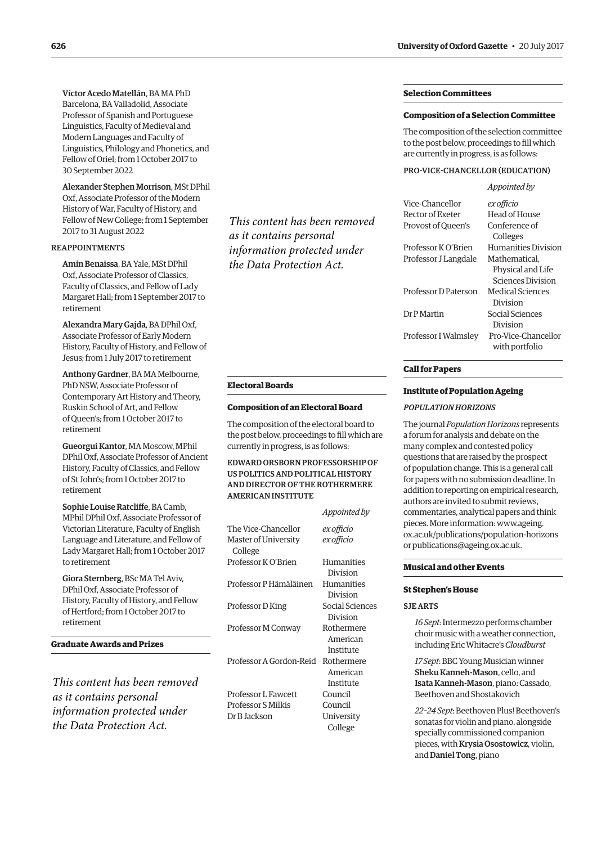Víctor Acedo Matellán, BA MA PhD Barcelona, BA Valladolid, Associate Professor of Spanish and Portuguese Linguistics, Faculty of Medieval and Modern Languages and Faculty of Linguistics, Philology and Phonetics, and Fellow of Oriel; from 1 October 2017 to 30 September 2022

Alexander Stephen Morrison, MSt DPhil Oxf, Associate Professor of the Modern History of War, Faculty of History, and Fellow of New College; from 1 September 2017 to 31 August 2022

### REAPPOINTMENTS

Amin Benaissa, BA Yale, MSt DPhil Oxf, Associate Professor of Classics, Faculty of Classics, and Fellow of Lady Margaret Hall; from 1 September 2017 to retirement

Alexandra Mary Gajda, BA DPhil Oxf, Associate Professor of Early Modern History, Faculty of History, and Fellow of Jesus; from 1 July 2017 to retirement

Anthony Gardner, BA MA Melbourne, PhD NSW, Associate Professor of Contemporary Art History and Theory, Ruskin School of Art, and Fellow of Queen's; from 1 October 2017 to retirement

Gueorgui Kantor, MA Moscow, MPhil DPhil Oxf, Associate Professor of Ancient History, Faculty of Classics, and Fellow of St John's; from 1 October 2017 to retirement

Sophie Louise Ratcliffe, BA Camb, MPhil DPhil Oxf, Associate Professor of Victorian Literature, Faculty of English Language and Literature, and Fellow of Lady Margaret Hall; from 1 October 2017 to retirement

Giora Sternberg, BSc MA Tel Aviv, DPhil Oxf, Associate Professor of History, Faculty of History, and Fellow of Hertford; from 1 October 2017 to retirement

**Graduate Awards and Prizes**

*This content has been removed as it contains personal information protected under the Data Protection Act.*

*This content has been removed as it contains personal information protected under the Data Protection Act.*

### **Electoral Boards**

#### **Composition of an Electoral Board**

The composition of the electoral board to the post below, proceedings to fill which are currently in progress, is as follows:

### EDWARD ORSBORN PROFESSORSHIP OF US POLITICS AND POLITICAL HISTORY AND DIRECTOR OF THE ROTHERMERE AMERICAN INSTITUTE

|                                 | Appointed by                |
|---------------------------------|-----------------------------|
| The Vice-Chancellor             | ex officio                  |
| Master of University<br>College | ex officio                  |
| Professor K O'Brien             | Humanities<br>Division      |
| Professor P Hämäläinen          | Humanities<br>Division      |
| Professor D King                | Social Sciences<br>Division |
| Professor M Conway              | Rothermere                  |
|                                 | American<br>Institute       |
| Professor A Gordon-Reid         | Rothermere                  |
|                                 | American<br>Institute       |
| Professor L Fawcett             | Council                     |
| Professor S Milkis              | Council                     |
| Dr B Jackson                    | University                  |
|                                 | College                     |

### **Selection Committees**

### **Composition of a Selection Committee**

The composition of the selection committee to the post below, proceedings to fill which are currently in progress, is as follows:

### PRO-VICE-CHANCELLOR (EDUCATION)

*Appointed by*

| Vice-Chancellor      | ex officio                 |
|----------------------|----------------------------|
| Rector of Exeter     | Head of House              |
| Provost of Oueen's   | Conference of              |
|                      | Colleges                   |
| Professor K O'Brien  | <b>Humanities Division</b> |
| Professor J Langdale | Mathematical.              |
|                      | Physical and Life          |
|                      | Sciences Division          |
| Professor D Paterson | <b>Medical Sciences</b>    |
|                      | Division                   |
| Dr P Martin          | Social Sciences            |
|                      | Division                   |
| Professor I Walmsley | Pro-Vice-Chancellor        |
|                      | with portfolio             |
|                      |                            |

### **Call for Papers**

### **Institute of Population Ageing**

#### *POPULATION HORIZONS*

The journal *Population Horizons* represents a forum for analysis and debate on the many complex and contested policy questions that are raised by the prospect of population change. This is a general call for papers with no submission deadline. In addition to reporting on empirical research, authors are invited to submit reviews, commentaries, analytical papers and think pieces. More information: www.ageing. [ox.ac.uk/publications/population-horizons](www.ageing.ox.ac.uk/publications/population-horizons)  or [publications@ageing.ox.ac.uk.](mailto:publications@ageing.ox.ac.uk)

#### **Musical and other Events**

### **St Stephen's House**

#### SJE ARTS

*16 Sept*: Intermezzo performs chamber choir music with a weather connection, including Eric Whitacre's *Cloudburst*

*17 Sept*: BBC Young Musician winner Sheku Kanneh-Mason, cello, and Isata Kanneh-Mason, piano: Cassado, Beethoven and Shostakovich

*22–24 Sept*: Beethoven Plus! Beethoven's sonatas for violin and piano, alongside specially commissioned companion pieces, with Krysia Osostowicz, violin, and Daniel Tong, piano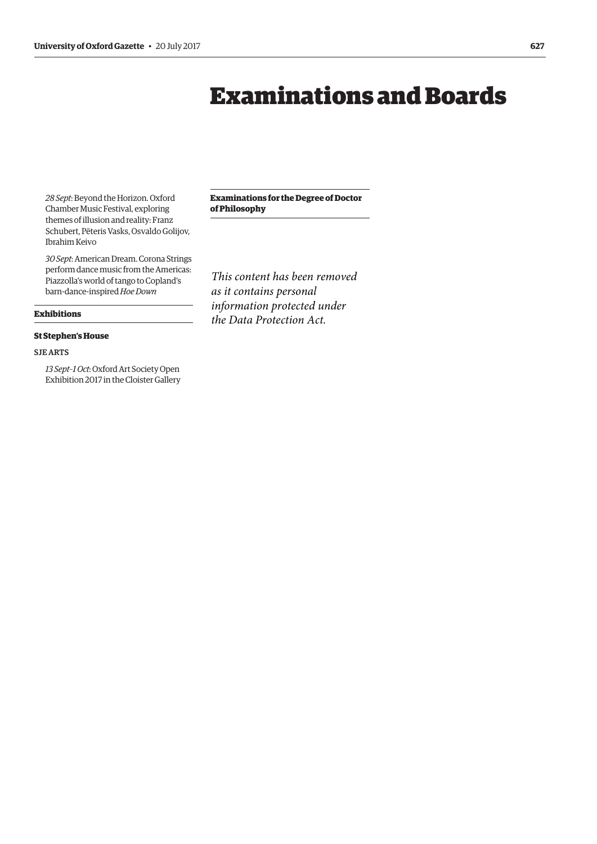# Examinations and Boards

<span id="page-8-0"></span>*28 Sept*: Beyond the Horizon. Oxford Chamber Music Festival, exploring themes of illusion and reality: Franz Schubert, Pëteris Vasks, Osvaldo Golijov, Ibrahim Keivo

*30 Sept*: American Dream. Corona Strings perform dance music from the Americas: Piazzolla's world of tango to Copland's barn-dance-inspired *Hoe Down*

**Exhibitions**

### **St Stephen's House**

### SJE ARTS

*13 Sept–1 Oct*: Oxford Art Society Open Exhibition 2017 in the Cloister Gallery **Examinations for the Degree of Doctor of Philosophy**

*This content has been removed as it contains personal information protected under the Data Protection Act.*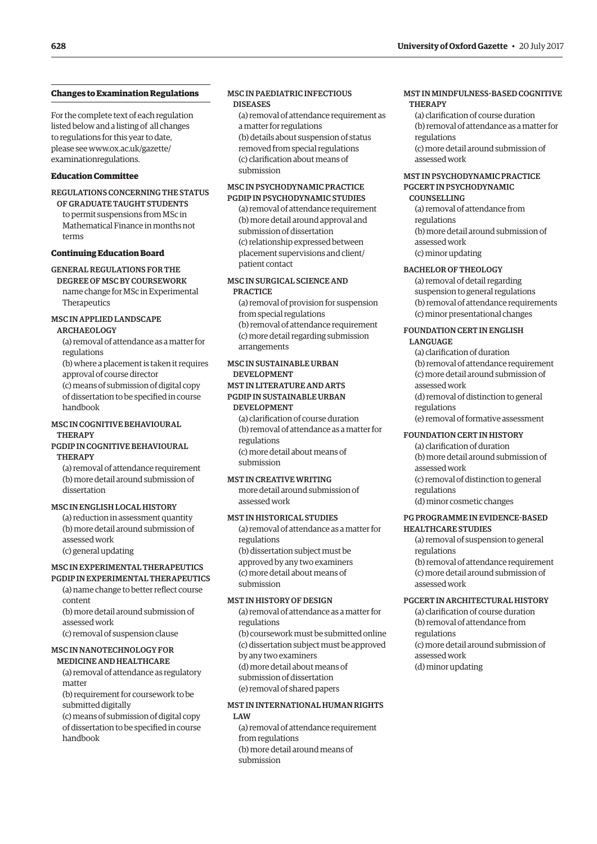### <span id="page-9-0"></span>**Changes to Examination Regulations**

For the complete text of each regulation listed below and a listing of all changes to regulations for this year to date, [please see www.ox.ac.uk/gazette/](www.ox.ac.uk/gazette/examinationregulations) examinationregulations.

### **Education Committee**

REGULATIONS CONCERNING THE STATUS OF GRADUATE TAUGHT STUDENTS to permit suspensions from MSc in Mathematical Finance in months not terms

#### **Continuing Education Board**

### GENERAL REGULATIONS FOR THE

DEGREE OF MSC BY COURSEWORK name change for MSc in Experimental Therapeutics

### MSC IN APPLIED LANDSCAPE

ARCHAEOLOGY

(a) removal of attendance as a matter for regulations

(b) where a placement is taken it requires approval of course director (c) means of submission of digital copy of dissertation to be specified in course handbook

### MSC IN COGNITIVE BEHAVIOURAL **THERAPY**

### PGDIP IN COGNITIVE BEHAVIOURAL THERAPY

(a) removal of attendance requirement (b) more detail around submission of dissertation

### MSC IN ENGLISH LOCAL HISTORY

(a) reduction in assessment quantity (b) more detail around submission of assessed work (c) general updating

### MSC IN EXPERIMENTAL THERAPEUTICS

PGDIP IN EXPERIMENTAL THERAPEUTICS (a) name change to better reflect course

content

(b) more detail around submission of assessed work

(c) removal of suspension clause

### MSC IN NANOTECHNOLOGY FOR MEDICINE AND HEALTHCARE

(a) removal of attendance as regulatory matter

(b) requirement for coursework to be

submitted digitally

(c) means of submission of digital copy of dissertation to be specified in course handbook

### MSC IN PAEDIATRIC INFECTIOUS DISEASES

(a) removal of attendance requirement as a matter for regulations (b) details about suspension of status removed from special regulations (c) clarification about means of submission

### MSC IN PSYCHODYNAMIC PRACTICE PGDIP IN PSYCHODYNAMIC STUDIES

(a) removal of attendance requirement (b) more detail around approval and submission of dissertation (c) relationship expressed between placement supervisions and client/ patient contact

### MSC IN SURGICAL SCIENCE AND PRACTICE

(a) removal of provision for suspension from special regulations (b) removal of attendance requirement (c) more detail regarding submission arrangements

### MSC IN SUSTAINABLE URBAN DEVELOPMENT

### MST IN LITERATURE AND ARTS PGDIP IN SUSTAINABLE URBAN DEVELOPMENT

(a) clarification of course duration (b) removal of attendance as a matter for regulations (c) more detail about means of submission

### MST IN CREATIVE WRITING

more detail around submission of assessed work

### MST IN HISTORICAL STUDIES

(a) removal of attendance as a matter for regulations (b) dissertation subject must be approved by any two examiners (c) more detail about means of submission

### MST IN HISTORY OF DESIGN

(a) removal of attendance as a matter for regulations (b) coursework must be submitted online (c) dissertation subject must be approved by any two examiners (d) more detail about means of submission of dissertation (e) removal of shared papers

### MST IN INTERNATIONAL HUMAN RIGHTS LAW

(a) removal of attendance requirement from regulations (b) more detail around means of submission

### MST IN MINDFULNESS-BASED COGNITIVE **THERAPY**

(a) clarification of course duration (b) removal of attendance as a matter for regulations (c) more detail around submission of assessed work

### MST IN PSYCHODYNAMIC PRACTICE PGCERT IN PSYCHODYNAMIC

### COUNSELLING

(a) removal of attendance from regulations (b) more detail around submission of assessed work (c) minor updating

### BACHELOR OF THEOLOGY

(a) removal of detail regarding suspension to general regulations (b) removal of attendance requirements (c) minor presentational changes

### FOUNDATION CERT IN ENGLISH

- LANGUAGE
	- (a) clarification of duration
	- (b) removal of attendance requirement (c) more detail around submission of
	- assessed work
	- (d) removal of distinction to general regulations
	- (e) removal of formative assessment

### FOUNDATION CERT IN HISTORY

(a) clarification of duration (b) more detail around submission of assessed work (c) removal of distinction to general

regulations

(d) minor cosmetic changes

### PG PROGRAMME IN EVIDENCE-BASED HEALTHCARE STUDIES

(a) removal of suspension to general regulations (b) removal of attendance requirement (c) more detail around submission of assessed work

### PGCERT IN ARCHITECTURAL HISTORY

(a) clarification of course duration (b) removal of attendance from regulations (c) more detail around submission of assessed work (d) minor updating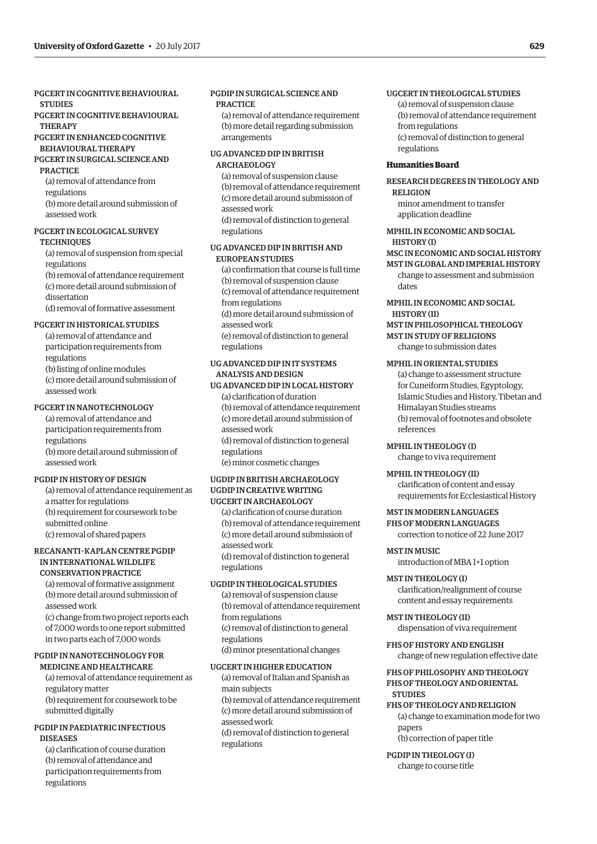### PGCERT IN COGNITIVE BEHAVIOURAL **STUDIES**

PGCERT IN COGNITIVE BEHAVIOURAL **THERAPY** 

### PGCERT IN ENHANCED COGNITIVE BEHAVIOURAL THERAPY

PGCERT IN SURGICAL SCIENCE AND PRACTICE

(a) removal of attendance from regulations (b) more detail around submission of

assessed work

### PGCERT IN ECOLOGICAL SURVEY **TECHNIQUES**

(a) removal of suspension from special regulations (b) removal of attendance requirement

(c) more detail around submission of dissertation

(d) removal of formative assessment

### PGCERT IN HISTORICAL STUDIES

(a) removal of attendance and participation requirements from regulations (b) listing of online modules (c) more detail around submission of assessed work

### PGCERT IN NANOTECHNOLOGY

(a) removal of attendance and participation requirements from regulations (b) more detail around submission of assessed work

### PGDIP IN HISTORY OF DESIGN

(a) removal of attendance requirement as a matter for regulations (b) requirement for coursework to be submitted online (c) removal of shared papers

### RECANANTI–KAPLAN CENTRE PGDIP IN INTERNATIONAL WILDLIFE CONSERVATION PRACTICE

(a) removal of formative assignment (b) more detail around submission of assessed work

(c) change from two project reports each of 7,000 words to one report submitted in two parts each of 7,000 words

### PGDIP IN NANOTECHNOLOGY FOR

MEDICINE AND HEALTHCARE (a) removal of attendance requirement as regulatory matter (b) requirement for coursework to be submitted digitally

### PGDIP IN PAEDIATRIC INFECTIOUS **DISEASES**

(a) clarification of course duration (b) removal of attendance and participation requirements from regulations

### PGDIP IN SURGICAL SCIENCE AND **PRACTICE**

(a) removal of attendance requirement (b) more detail regarding submission arrangements

### UG ADVANCED DIP IN BRITISH ARCHAEOLOGY

(a) removal of suspension clause (b) removal of attendance requirement (c) more detail around submission of assessed work (d) removal of distinction to general regulations

### UG ADVANCED DIP IN BRITISH AND EUROPEAN STUDIES

(a) confirmation that course is full time (b) removal of suspension clause (c) removal of attendance requirement from regulations (d) more detail around submission of assessed work (e) removal of distinction to general regulations

### UG ADVANCED DIP IN IT SYSTEMS ANALYSIS AND DESIGN

UG ADVANCED DIP IN LOCAL HISTORY (a) clarification of duration (b) removal of attendance requirement (c) more detail around submission of assessed work (d) removal of distinction to general regulations (e) minor cosmetic changes

### UGDIP IN BRITISH ARCHAEOLOGY UGDIP IN CREATIVE WRITING UGCERT IN ARCHAEOLOGY

(a) clarification of course duration (b) removal of attendance requirement (c) more detail around submission of assessed work (d) removal of distinction to general regulations

### UGDIP IN THEOLOGICAL STUDIES

(a) removal of suspension clause (b) removal of attendance requirement from regulations (c) removal of distinction to general regulations (d) minor presentational changes

### UGCERT IN HIGHER EDUCATION

(a) removal of Italian and Spanish as main subjects (b) removal of attendance requirement (c) more detail around submission of assessed work (d) removal of distinction to general regulations

### UGCERT IN THEOLOGICAL STUDIES

(a) removal of suspension clause (b) removal of attendance requirement from regulations (c) removal of distinction to general regulations

### **Humanities Board**

RESEARCH DEGREES IN THEOLOGY AND RELIGION

minor amendment to transfer application deadline

### MPHIL IN ECONOMIC AND SOCIAL

### HISTORY (I)

MSC IN ECONOMIC AND SOCIAL HISTORY MST IN GLOBAL AND IMPERIAL HISTORY change to assessment and submission

dates

### MPHIL IN ECONOMIC AND SOCIAL

### HISTORY (II)

### MST IN PHILOSOPHICAL THEOLOGY MST IN STUDY OF RELIGIONS

change to submission dates

### MPHIL IN ORIENTAL STUDIES

(a) change to assessment structure for Cuneiform Studies, Egyptology, Islamic Studies and History, Tibetan and Himalayan Studies streams (b) removal of footnotes and obsolete references

MPHIL IN THEOLOGY (I) change to viva requirement

### MPHIL IN THEOLOGY (II)

clarification of content and essay requirements for Ecclesiastical History

### MST IN MODERN LANGUAGES FHS OF MODERN LANGUAGES

correction to notice of 22 June 2017

### MST IN MUSIC

introduction of MBA 1+1 option

### MST IN THEOLOGY (I) clarification/realignment of course

content and essay requirements

MST IN THEOLOGY (II) dispensation of viva requirement

FHS OF HISTORY AND ENGLISH change of new regulation effective date

### FHS OF PHILOSOPHY AND THEOLOGY FHS OF THEOLOGY AND ORIENTAL **STUDIES**

### FHS OF THEOLOGY AND RELIGION (a) change to examination mode for two papers

(b) correction of paper title

PGDIP IN THEOLOGY (I) change to course title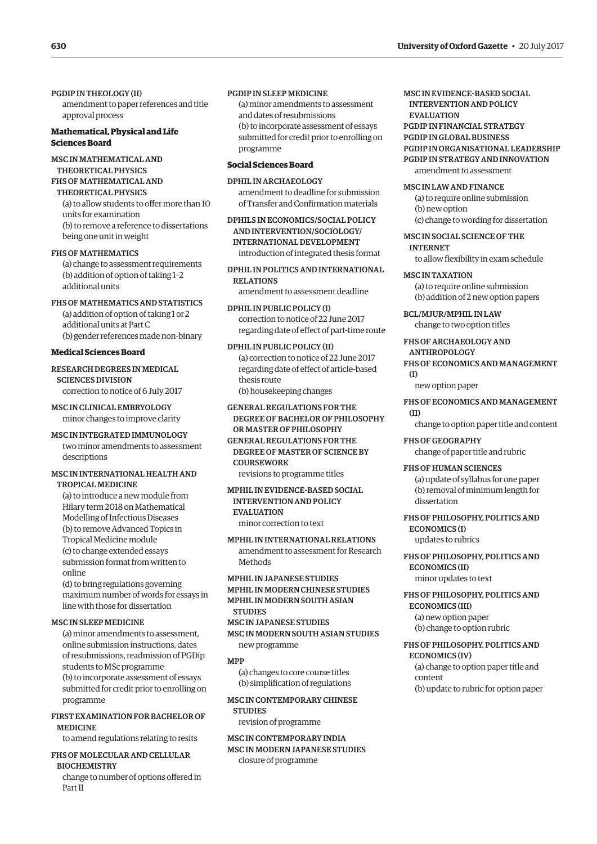PGDIP IN THEOLOGY (II)

amendment to paper references and title approval process

### **Mathematical, Physical and Life Sciences Board**

MSC IN MATHEMATICAL AND THEORETICAL PHYSICS FHS OF MATHEMATICAL AND

THEORETICAL PHYSICS (a) to allow students to offer more than 10 units for examination (b) to remove a reference to dissertations being one unit in weight

### FHS OF MATHEMATICS

(a) change to assessment requirements (b) addition of option of taking 1–2 additional units

### FHS OF MATHEMATICS AND STATISTICS (a) addition of option of taking 1 or 2

additional units at Part C (b) gender references made non-binary

### **Medical Sciences Board**

RESEARCH DEGREES IN MEDICAL SCIENCES DIVISION correction to notice of 6 July 2017

MSC IN CLINICAL EMBRYOLOGY minor changes to improve clarity

MSC IN INTEGRATED IMMUNOLOGY two minor amendments to assessment descriptions

### MSC IN INTERNATIONAL HEALTH AND TROPICAL MEDICINE

(a) to introduce a new module from Hilary term 2018 on Mathematical Modelling of Infectious Diseases (b) to remove Advanced Topics in Tropical Medicine module (c) to change extended essays submission format from written to online

(d) to bring regulations governing maximum number of words for essays in line with those for dissertation

### MSC IN SLEEP MEDICINE

(a) minor amendments to assessment, online submission instructions, dates of resubmissions, readmission of PGDip students to MSc programme (b) to incorporate assessment of essays submitted for credit prior to enrolling on programme

### FIRST EXAMINATION FOR BACHELOR OF MEDICINE

to amend regulations relating to resits

### FHS OF MOLECULAR AND CELLULAR **BIOCHEMISTRY** change to number of options offered in

Part II

### PGDIP IN SLEEP MEDICINE

(a) minor amendments to assessment and dates of resubmissions (b) to incorporate assessment of essays submitted for credit prior to enrolling on programme

### **Social Sciences Board**

DPHIL IN ARCHAEOLOGY amendment to deadline for submission of Transfer and Confirmation materials

DPHILS IN ECONOMICS/SOCIAL POLICY AND INTERVENTION/SOCIOLOGY/ INTERNATIONAL DEVELOPMENT introduction of integrated thesis format

DPHIL IN POLITICS AND INTERNATIONAL RELATIONS amendment to assessment deadline

DPHIL IN PUBLIC POLICY (I) correction to notice of 22 June 2017 regarding date of effect of part-time route

DPHIL IN PUBLIC POLICY (II) (a) correction to notice of 22 June 2017 regarding date of effect of article-based thesis route (b) housekeeping changes

### GENERAL REGULATIONS FOR THE DEGREE OF BACHELOR OF PHILOSOPHY OR MASTER OF PHILOSOPHY

GENERAL REGULATIONS FOR THE DEGREE OF MASTER OF SCIENCE BY **COURSEWORK** revisions to programme titles

MPHIL IN EVIDENCE-BASED SOCIAL INTERVENTION AND POLICY

**EVALUATION** 

minor correction to text

MPHIL IN INTERNATIONAL RELATIONS amendment to assessment for Research Methods

MPHIL IN JAPANESE STUDIES MPHIL IN MODERN CHINESE STUDIES MPHIL IN MODERN SOUTH ASIAN **STUDIES** 

MSC IN JAPANESE STUDIES

MSC IN MODERN SOUTH ASIAN STUDIES new programme

#### MPP

(a) changes to core course titles (b) simplification of regulations

### MSC IN CONTEMPORARY CHINESE

**STUDIES** 

revision of programme

### MSC IN CONTEMPORARY INDIA MSC IN MODERN JAPANESE STUDIES closure of programme

MSC IN EVIDENCE-BASED SOCIAL INTERVENTION AND POLICY EVALUATION PGDIP IN FINANCIAL STRATEGY PGDIP IN GLOBAL BUSINESS PGDIP IN ORGANISATIONAL LEADERSHIP PGDIP IN STRATEGY AND INNOVATION amendment to assessment

MSC IN LAW AND FINANCE

(a) to require online submission (b) new option (c) change to wording for dissertation

### MSC IN SOCIAL SCIENCE OF THE

INTERNET

to allow flexibility in exam schedule

### MSC IN TAXATION

(a) to require online submission (b) addition of 2 new option papers

BCL/MJUR/MPHIL IN LAW change to two option titles

### FHS OF ARCHAEOLOGY AND ANTHROPOLOGY

FHS OF ECONOMICS AND MANAGEMENT  $(1)$ 

new option paper

### FHS OF ECONOMICS AND MANAGEMENT (II)

change to option paper title and content

FHS OF GEOGRAPHY change of paper title and rubric

FHS OF HUMAN SCIENCES

(a) update of syllabus for one paper (b) removal of minimum length for dissertation

### FHS OF PHILOSOPHY, POLITICS AND ECONOMICS (I)

updates to rubrics

### FHS OF PHILOSOPHY, POLITICS AND ECONOMICS (II)

minor updates to text

FHS OF PHILOSOPHY, POLITICS AND ECONOMICS (III) (a) new option paper (b) change to option rubric

### FHS OF PHILOSOPHY, POLITICS AND ECONOMICS (IV)

(a) change to option paper title and content (b) update to rubric for option paper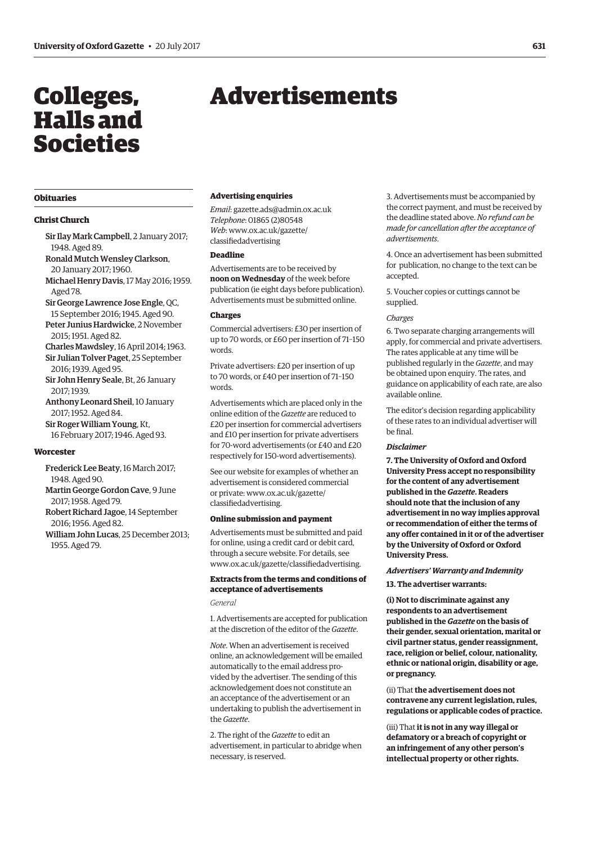# <span id="page-12-0"></span>Colleges, Halls and Societies

# Advertisements

### **Obituaries**

### **Christ Church**

- Sir Ilay Mark Campbell, 2 January 2017; 1948. Aged 89.
- Ronald Mutch Wensley Clarkson, 20 January 2017; 1960.
- Michael Henry Davis, 17 May 2016; 1959. Aged 78.
- Sir George Lawrence Jose Engle, QC, 15 September 2016; 1945. Aged 90. Peter Junius Hardwicke, 2 November
- 2015; 1951. Aged 82. Charles Mawdsley, 16 April 2014; 1963.
- Sir Julian Tolver Paget, 25 September 2016; 1939. Aged 95.
- Sir John Henry Seale, Bt, 26 January 2017; 1939.
- Anthony Leonard Sheil, 10 January 2017; 1952. Aged 84. Sir Roger William Young, Kt,
- 16 February 2017; 1946. Aged 93.

### **Worcester**

- Frederick Lee Beaty, 16 March 2017; 1948. Aged 90.
- Martin George Gordon Cave, 9 June 2017; 1958. Aged 79.
- Robert Richard Jagoe, 14 September 2016; 1956. Aged 82.
- William John Lucas, 25 December 2013; 1955. Aged 79.

### **Advertising enquiries**

*Email*: [gazette.ads@admin.ox.ac.uk](mailto:gazette.ads@admin.ox.ac.uk) *Telephone*: 01865 (2)80548 *Web*[: www.ox.ac.uk/gazette/](www.ox.ac.uk/gazette/classifiedadvertising) classifiedadvertising

### **Deadline**

Advertisements are to be received by **noon on Wednesday** of the week before publication (ie eight days before publication). Advertisements must be submitted online.

#### **Charges**

Commercial advertisers: £30 per insertion of up to 70 words, or £60 per insertion of 71–150 words.

Private advertisers: £20 per insertion of up to 70 words, or £40 per insertion of 71–150 words.

Advertisements which are placed only in the online edition of the *Gazette* are reduced to £20 per insertion for commercial advertisers and £10 per insertion for private advertisers for 70-word advertisements (or £40 and £20 respectively for 150-word advertisements).

See our website for examples of whether an advertisement is considered commercial [or private: www.ox.ac.uk/gazette/](www.ox.ac.uk/gazette/classifiedadvertising) classifiedadvertising.

#### **Online submission and payment**

Advertisements must be submitted and paid for online, using a credit card or debit card, through a secure website. For details, see [www.ox.ac.uk/gazette/classifiedadvertising.](http://www.ox.ac.uk/gazette/classifiedadvertising)

### **Extracts from the terms and conditions of acceptance of advertisements**

### *General*

1. Advertisements are accepted for publication at the discretion of the editor of the *Gazette*.

*Note*. When an advertisement is received online, an acknowledgement will be emailed automatically to the email address provided by the advertiser. The sending of this acknowledgement does not constitute an an acceptance of the advertisement or an undertaking to publish the advertisement in the *Gazette*.

2. The right of the *Gazette* to edit an advertisement, in particular to abridge when necessary, is reserved.

3. Advertisements must be accompanied by the correct payment, and must be received by the deadline stated above. *No refund can be made for cancellation after the acceptance of advertisements*.

4. Once an advertisement has been submitted for publication, no change to the text can be accepted.

5. Voucher copies or cuttings cannot be supplied.

#### *Charges*

6. Two separate charging arrangements will apply, for commercial and private advertisers. The rates applicable at any time will be published regularly in the *Gazette*, and may be obtained upon enquiry. The rates, and guidance on applicability of each rate, are also available online.

The editor's decision regarding applicability of these rates to an individual advertiser will be final.

#### *Disclaimer*

**7. The University of Oxford and Oxford University Press accept no responsibility for the content of any advertisement published in the** *Gazette***. Readers should note that the inclusion of any advertisement in no way implies approval or recommendation of either the terms of any offer contained in it or of the advertiser by the University of Oxford or Oxford University Press.**

#### *Advertisers' Warranty and Indemnity*

**13. The advertiser warrants:**

**(i) Not to discriminate against any respondents to an advertisement published in the** *Gazette* **on the basis of their gender, sexual orientation, marital or civil partner status, gender reassignment, race, religion or belief, colour, nationality, ethnic or national origin, disability or age, or pregnancy.**

(ii) That **the advertisement does not contravene any current legislation, rules, regulations or applicable codes of practice.** 

(iii) That **it is not in any way illegal or defamatory or a breach of copyright or an infringement of any other person's intellectual property or other rights.**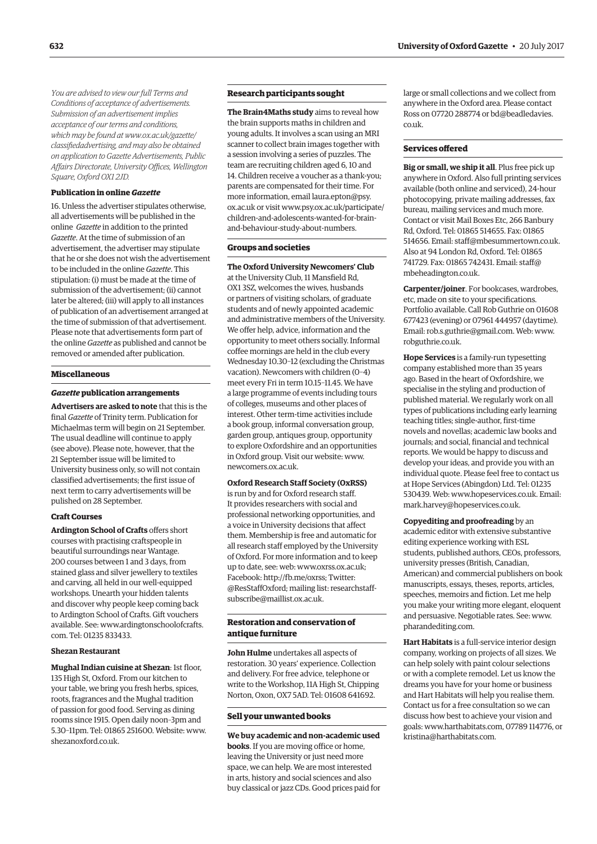*You are advised to view our full Terms and Conditions of acceptance of advertisements. Submission of an advertisement implies acceptance of our terms and conditions, which may be found at www.ox.ac.uk/gazette/ [classifiedadvertising, and may also be obtained](www.ox.ac.uk/gazette/classifiedadvertising)  on application to Gazette Advertisements, Public Affairs Directorate, University Offices, Wellington Square, Oxford OX1 2JD.*

### **Publication in online** *Gazette*

16. Unless the advertiser stipulates otherwise, all advertisements will be published in the online *Gazette* in addition to the printed *Gazette*. At the time of submission of an advertisement, the advertiser may stipulate that he or she does not wish the advertisement to be included in the online *Gazette*. This stipulation: (i) must be made at the time of submission of the advertisement; (ii) cannot later be altered; (iii) will apply to all instances of publication of an advertisement arranged at the time of submission of that advertisement. Please note that advertisements form part of the online *Gazette* as published and cannot be removed or amended after publication.

#### **Miscellaneous**

#### *Gazette* **publication arrangements**

**Advertisers are asked to note** that this is the final *Gazette* of Trinity term. Publication for Michaelmas term will begin on 21 September. The usual deadline will continue to apply ([see above\)](http://www.ox.ac.uk/gazette/classifiedadvertising/). Please note, however, that the 21 September issue will be limited to University business only, so will not contain classified advertisements; the first issue of next term to carry advertisements will be pulished on 28 September.

#### **Craft Courses**

**Ardington School of Crafts** offers short courses with practising craftspeople in beautiful surroundings near Wantage. 200 courses between 1 and 3 days, from stained glass and silver jewellery to textiles and carving, all held in our well-equipped workshops. Unearth your hidden talents and discover why people keep coming back to Ardington School of Crafts. Gift vouchers [available. See: www.ardingtonschoolofcrafts.](www.ardingtonschoolofcrafts.com) com. Tel: 01235 833433.

### **Shezan Restaurant**

**Mughal Indian cuisine at Shezan**: 1st floor, 135 High St, Oxford. From our kitchen to your table, we bring you fresh herbs, spices, roots, fragrances and the Mughal tradition of passion for good food. Serving as dining rooms since 1915. Open daily noon–3pm and 5.30–11pm. Tel: 01865 251600. Website: [www.](http://www.shezanoxford.co.uk) [shezanoxford.co.uk.](http://www.shezanoxford.co.uk)

### **Research participants sought**

**The Brain4Maths study** aims to reveal how the brain supports maths in children and young adults. It involves a scan using an MRI scanner to collect brain images together with a session involving a series of puzzles. The team are recruiting children aged 6, 10 and 14. Children receive a voucher as a thank-you; parents are compensated for their time. For more informat[ion, email laura.epton@psy.](mailto:laura.epton@psy.ox.ac.uk) [ox.ac.uk or visit www.psy.ox.ac.uk/participate/](www.psy.ox.ac.uk/participate/children-and-adolescents-wanted-for-brain-and-behaviour-study-about-numbers) children-and-adolescents-wanted-for-brainand-behaviour-study-about-numbers.

### **Groups and societies**

**The Oxford University Newcomers' Club** at the University Club, 11 Mansfield Rd, OX1 3SZ, welcomes the wives, husbands or partners of visiting scholars, of graduate students and of newly appointed academic and administrative members of the University. We offer help, advice, information and the opportunity to meet others socially. Informal coffee mornings are held in the club every Wednesday 10.30–12 (excluding the Christmas vacation). Newcomers with children (0–4) meet every Fri in term 10.15–11.45. We have a large programme of events including tours of colleges, museums and other places of interest. Other term-time activities include a book group, informal conversation group, garden group, antiques group, opportunity to explore Oxfordshire and an opportunities in Oxford group. Visit our website: [www.](http://www.newcomers.ox.ac.uk) [newcomers.ox.ac.uk.](http://www.newcomers.ox.ac.uk)

### **Oxford Research Staff Society (OxRSS)**

is run by and for Oxford research staff. It provides researchers with social and professional networking opportunities, and a voice in University decisions that affect them. Membership is free and automatic for all research staff employed by the University of Oxford. For more information and to keep up to date, see: web: [www.oxrss.ox.ac.uk;](http://www.oxrss.ox.ac.uk)  Facebook: [http://fb.me/oxrss; Tw](http://fb.me/oxrss)itter: [@ResStaffOxford](https://twitter.com/resstaffoxford); mailing list[: researchstaff](mailto:researchstaff-subscribe@maillist.ox.ac.uk)[subscribe@maillist.ox.ac.uk.](mailto:researchstaff-subscribe@maillist.ox.ac.uk)

### **Restoration and conservation of antique furniture**

**John Hulme** undertakes all aspects of restoration. 30 years' experience. Collection and delivery. For free advice, telephone or write to the Workshop, 11A High St, Chipping Norton, Oxon, OX7 5AD. Tel: 01608 641692.

#### **Sell your unwanted books**

**We buy academic and non-academic used books**. If you are moving office or home, leaving the University or just need more space, we can help. We are most interested in arts, history and social sciences and also buy classical or jazz CDs. Good prices paid for

large or small collections and we collect from anywhere in the Oxford area. Please contact [Ross on 07720 288774 or bd@beadledavies.](mailto:be@beadledavies.co.uk) co.uk.

### **Services offered**

**Big or small, we ship it all**. Plus free pick up anywhere in Oxford. Also full printing services available (both online and serviced), 24-hour photocopying, private mailing addresses, fax bureau, mailing services and much more. Contact or visit Mail Boxes Etc, 266 Banbury Rd, Oxford. Tel: 01865 514655. Fax: 01865 514656. Email: [staff@mbesummertown.co.uk.](mailto:staff@mbesummertown.co.uk)  Also at 94 London Rd, Oxford. Tel: 01865 [741729. Fax: 01865 742431. Email: staff@](mailto:staff@mbeheadington.co.uk) mbeheadington.co.uk.

**Carpenter/joiner**. For bookcases, wardrobes, etc, made on site to your specifications. Portfolio available. Call Rob Guthrie on 01608 677423 (evening) or 07961 444957 (daytime). Email: [rob.s.guthrie@gmail.com. W](mailto:rob.s.guthrie@gmail.com)eb: [www.](http://www.robguthrie.co.uk) [robguthrie.co.uk.](http://www.robguthrie.co.uk)

**Hope Services** is a family-run typesetting company established more than 35 years ago. Based in the heart of Oxfordshire, we specialise in the styling and production of published material. We regularly work on all types of publications including early learning teaching titles; single-author, first-time novels and novellas; academic law books and journals; and social, financial and technical reports. We would be happy to discuss and develop your ideas, and provide you with an individual quote. Please feel free to contact us at Hope Services (Abingdon) Ltd. Tel: 01235 530439. Web: [www.hopeservices.co.uk. Em](http://www.hopeservices.co.uk)ail: [mark.harvey@hopeservices.co.uk.](mailto:mark.harvey@hopeservices.co.uk)

**Copyediting and proofreading** by an academic editor with extensive substantive editing experience working with ESL students, published authors, CEOs, professors, university presses (British, Canadian, American) and commercial publishers on book manuscripts, essays, theses, reports, articles, speeches, memoirs and fiction. Let me help you make your writing more elegant, eloquent and persuasive. Negotiable rates. See: [www.](http://www.pharandediting.com) [pharandediting.com.](http://www.pharandediting.com)

**Hart Habitats** is a full-service interior design company, working on projects of all sizes. We can help solely with paint colour selections or with a complete remodel. Let us know the dreams you have for your home or business and Hart Habitats will help you realise them. Contact us for a free consultation so we can discuss how best to achieve your vision and goals: [www.harthabitats.com, 07](http://www.harthabitats.com)789 114776, or [kristina@harthabitats.com.](mailto:kristina@harthabitats.com)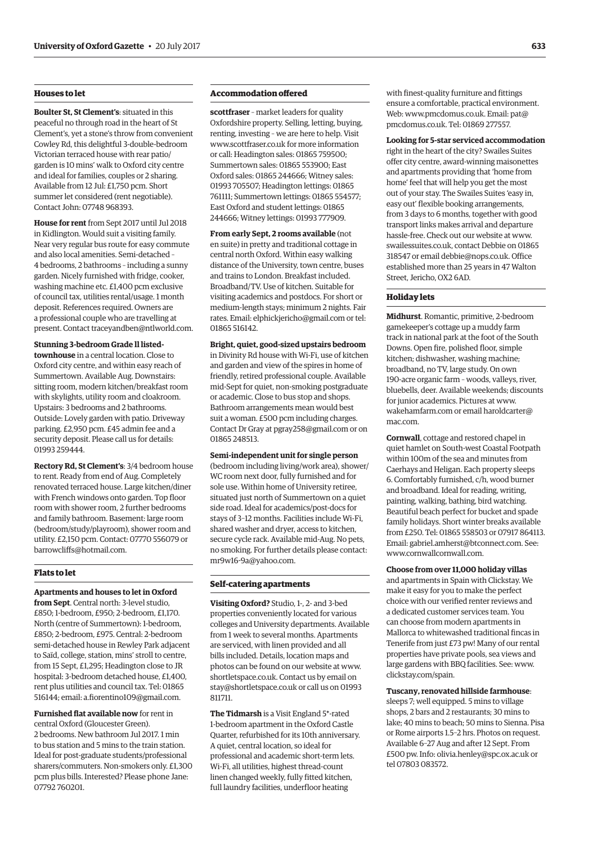### **Houses to let**

**Boulter St, St Clement's**: situated in this peaceful no through road in the heart of St Clement's, yet a stone's throw from convenient Cowley Rd, this delightful 3-double-bedroom Victorian terraced house with rear patio/ garden is 10 mins' walk to Oxford city centre and ideal for families, couples or 2 sharing. Available from 12 Jul: £1,750 pcm. Short summer let considered (rent negotiable). Contact John: 07748 968393.

**House for rent** from Sept 2017 until Jul 2018 in Kidlington. Would suit a visiting family. Near very regular bus route for easy commute and also local amenities. Semi-detached – 4 bedrooms, 2 bathrooms – including a sunny garden. Nicely furnished with fridge, cooker, washing machine etc. £1,400 pcm exclusive of council tax, utilities rental/usage. 1 month deposit. References required. Owners are a professional couple who are travelling at present. Contact [traceyandben@ntlworld.com.](mailto:traceyandben@ntlworld.com)

### **Stunning 3-bedroom Grade ll listed-**

**townhouse** in a central location. Close to Oxford city centre, and within easy reach of Summertown. Available Aug. Downstairs: sitting room, modern kitchen/breakfast room with skylights, utility room and cloakroom. Upstairs: 3 bedrooms and 2 bathrooms. Outside: Lovely garden with patio. Driveway parking. £2,950 pcm. £45 admin fee and a security deposit. Please call us for details: 01993 259444.

**Rectory Rd, St Clement's**: 3/4 bedroom house to rent. Ready from end of Aug. Completely renovated terraced house. Large kitchen/diner with French windows onto garden. Top floor room with shower room, 2 further bedrooms and family bathroom. Basement: large room (bedroom/study/playroom), shower room and utility. £2,150 pcm. Contact: 07770 556079 or [barrowcliffs@hotmail.com.](mailto:barrowcliffs@hotmail.com)

### **Flats to let**

### **Apartments and houses to let in Oxford**

**from Sept**. Central north: 3-level studio, £850; 1-bedroom, £950; 2-bedroom, £1,170. North (centre of Summertown): 1-bedroom, £850; 2-bedroom, £975. Central: 2-bedroom semi-detached house in Rewley Park adjacent to Saïd, college, station, mins' stroll to centre, from 15 Sept, £1,295; Headington close to JR hospital: 3-bedroom detached house, £1,400, rent plus utilities and council tax. Tel: 01865 516144; email: [a.fiorentino109@gmail.com.](mailto:a.fiorentino109@gmail.com)

**Furnished flat available now** for rent in central Oxford (Gloucester Green). 2 bedrooms. New bathroom Jul 2017. 1 min to bus station and 5 mins to the train station. Ideal for post-graduate students/professional sharers/commuters. Non-smokers only. £1,300 pcm plus bills. Interested? Please phone Jane: 07792 760201.

### **Accommodation offered**

**scottfraser** – market leaders for quality Oxfordshire property. Selling, letting, buying, renting, investing – we are here to help. Visit [www.scottfraser.co.uk fo](http://www.scottfraser.co.uk)r more information or call: Headington sales: 01865 759500; Summertown sales: 01865 553900; East Oxford sales: 01865 244666; Witney sales: 01993 705507; Headington lettings: 01865 761111; Summertown lettings: 01865 554577; East Oxford and student lettings: 01865 244666; Witney lettings: 01993 777909.

**From early Sept, 2 rooms available** (not en suite) in pretty and traditional cottage in central north Oxford. Within easy walking distance of the University, town centre, buses and trains to London. Breakfast included. Broadband/TV. Use of kitchen. Suitable for visiting academics and postdocs. For short or medium-length stays; minimum 2 nights. Fair rates. Email: [elphickjericho@gmail.com or](mailto:elphickjericho@gmail.com) tel: 01865 516142.

### **Bright, quiet, good-sized upstairs bedroom**

in Divinity Rd house with Wi-Fi, use of kitchen and garden and view of the spires in home of friendly, retired professional couple. Available mid-Sept for quiet, non-smoking postgraduate or academic. Close to bus stop and shops. Bathroom arrangements mean would best suit a woman. £500 pcm including charges. Contact Dr Gray at [pgray258@gmail.com or](mailto:pgray258@gmail.com) on 01865 248513.

### **Semi-independent unit for single person** (bedroom including living/work area), shower/ WC room next door, fully furnished and for sole use. Within home of University retiree, situated just north of Summertown on a quiet

side road. Ideal for academics/post-docs for stays of 3–12 months. Facilities include Wi-Fi, shared washer and dryer, access to kitchen, secure cycle rack. Available mid-Aug. No pets, no smoking. For further details please contact: [mr9w16-9a@yahoo.com.](mailto:mr9w16-9a@yahoo.com)

#### **Self-catering apartments**

**Visiting Oxford?** Studio, 1-, 2- and 3-bed properties conveniently located for various colleges and University departments. Available from 1 week to several months. Apartments are serviced, with linen provided and all bills included. Details, location maps and photos can be found on our website at [www.](http://www.shortletspace.co.uk) [shortletspace.co.uk. Co](http://www.shortletspace.co.uk)ntact us by email on [stay@shortletspace.co.uk or](mailto:stay@shortletspace.co.uk) call us on 01993 811711.

**The Tidmarsh** is a Visit England 5\*-rated 1-bedroom apartment in the Oxford Castle Quarter, refurbished for its 10th anniversary. A quiet, central location, so ideal for professional and academic short-term lets. Wi-Fi, all utilities, highest thread-count linen changed weekly, fully fitted kitchen, full laundry facilities, underfloor heating

with finest-quality furniture and fittings ensure a comfortable, practical environment. Web: [www.pmcdomus.co.uk. Em](http://www.pmcdomus.co.uk)[ail: pat@](mailto:pat@pmcdomus.co.uk) pmcdomus.co.uk. Tel: 01869 277557.

**Looking for 5-star serviced accommodation** right in the heart of the city? Swailes Suites offer city centre, award-winning maisonettes and apartments providing that 'home from home' feel that will help you get the most out of your stay. The Swailes Suites 'easy in, easy out' flexible booking arrangements, from 3 days to 6 months, together with good transport links makes arrival and departure hassle-free. Check out our website at [www.](http://www.swailessuites.co.uk) [swailessuites.co.uk, co](http://www.swailessuites.co.uk)ntact Debbie on 01865 318547 or email [debbie@nops.co.uk. Of](mailto:debbie@nops.co.uk)fice established more than 25 years in 47 Walton Street, Jericho, OX2 6AD.

### **Holiday lets**

**Midhurst**. Romantic, primitive, 2-bedroom gamekeeper's cottage up a muddy farm track in national park at the foot of the South Downs. Open fire, polished floor, simple kitchen; dishwasher, washing machine; broadband, no TV, large study. On own 190-acre organic farm – woods, valleys, river, bluebells, deer. Available weekends; discounts for junior academics. Pictures at [www.](http://www.wakehamfarm.com) [wakehamfarm.com or](http://www.wakehamfarm.com) e[mail haroldcarter@](mailto:haroldcarter@mac.com) mac.com.

**Cornwall**, cottage and restored chapel in quiet hamlet on South-west Coastal Footpath within 100m of the sea and minutes from Caerhays and Heligan. Each property sleeps 6. Comfortably furnished, c/h, wood burner and broadband. Ideal for reading, writing, painting, walking, bathing, bird watching. Beautiful beach perfect for bucket and spade family holidays. Short winter breaks available from £250. Tel: 01865 558503 or 07917 864113. Email: [gabriel.amherst@btconnect.com. Se](mailto:gabriel.amherst@btconnect.com)e: [www.cornwallcornwall.com.](http://www.cornwallcornwall.com)

### **Choose from over 11,000 holiday villas**

and apartments in Spain with Clickstay. We make it easy for you to make the perfect choice with our verified renter reviews and a dedicated customer services team. You can choose from modern apartments in Mallorca to whitewashed traditional fincas in Tenerife from just £73 pw! Many of our rental properties have private pools, sea views and large gardens with BBQ facilities. See: [www.](http://www.clickstay.com/spain) [clickstay.com/spain.](http://www.clickstay.com/spain)

### **Tuscany, renovated hillside farmhouse**:

sleeps 7; well equipped. 5 mins to village shops, 2 bars and 2 restaurants; 30 mins to lake; 40 mins to beach; 50 mins to Sienna. Pisa or Rome airports 1.5–2 hrs. Photos on request. Available 6–27 Aug and after 12 Sept. From £500 pw. Info: [olivia.henley@spc.ox.ac.uk or](mailto:olivia.henley@spc.ox.ac.uk) tel 07803 083572.